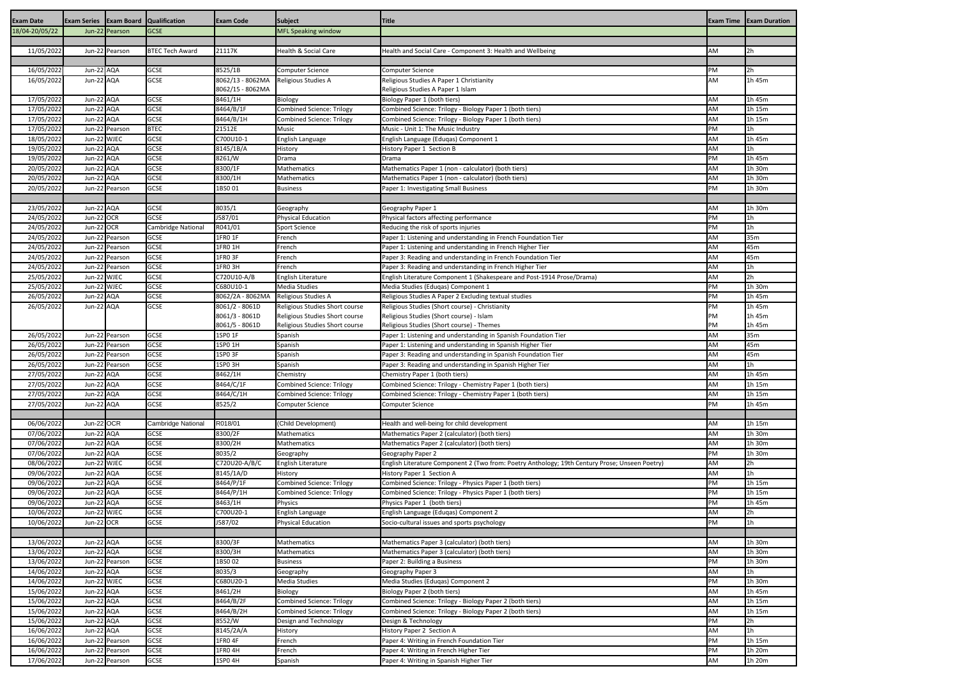| <b>Exam Date</b>         | <b>Exam Series Exam Board Qualification</b> |                |                            | <b>Exam Code</b>                 | <b>Subject</b>                                                   | <b>Title</b>                                                                                   |           | <b>Exam Time Exam Duration</b> |
|--------------------------|---------------------------------------------|----------------|----------------------------|----------------------------------|------------------------------------------------------------------|------------------------------------------------------------------------------------------------|-----------|--------------------------------|
| 18/04-20/05/22           |                                             | Jun-22 Pearson | <b>GCSE</b>                |                                  | <b>MFL Speaking window</b>                                       |                                                                                                |           |                                |
|                          |                                             |                |                            |                                  |                                                                  |                                                                                                |           |                                |
| 11/05/2022               |                                             | Jun-22 Pearson | <b>BTEC Tech Award</b>     | 21117K                           | Health & Social Care                                             | Health and Social Care - Component 3: Health and Wellbeing                                     | AM        | 2 <sub>h</sub>                 |
| 16/05/2022               | Jun-22 AQA                                  |                | <b>GCSE</b>                | 8525/1B                          | Computer Science                                                 | <b>Computer Science</b>                                                                        | PM        | 2 <sub>h</sub>                 |
| 16/05/2022               | Jun-22 AQA                                  |                | <b>GCSE</b>                | 8062/13 - 8062MA                 | Religious Studies A                                              | Religious Studies A Paper 1 Christianity                                                       | AM        | 1h 45m                         |
|                          |                                             |                |                            | 8062/15 - 8062MA                 |                                                                  | Religious Studies A Paper 1 Islam                                                              |           |                                |
| 17/05/2022               | Jun-22 AQA                                  |                | <b>GCSE</b>                | 8461/1H                          | Biology                                                          | Biology Paper 1 (both tiers)                                                                   | AM        | 1h 45m                         |
| 17/05/2022               | Jun-22 AQA                                  |                | <b>GCSE</b>                | 8464/B/1F                        | <b>Combined Science: Trilogy</b>                                 | Combined Science: Trilogy - Biology Paper 1 (both tiers)                                       | AM        | 1h 15m                         |
| 17/05/2022               | Jun-22 AQA                                  |                | <b>GCSE</b>                | 8464/B/1H                        | <b>Combined Science: Trilogy</b>                                 | Combined Science: Trilogy - Biology Paper 1 (both tiers)                                       | AM        | 1h 15m                         |
| 17/05/2022               |                                             | Jun-22 Pearson | <b>BTEC</b>                | 21512E                           | <b>Music</b>                                                     | Music - Unit 1: The Music Industry                                                             | PM        | 1 <sub>h</sub>                 |
| 18/05/2022               | Jun-22 WJEC                                 |                | <b>GCSE</b>                | C700U10-1                        | English Language                                                 | English Language (Eduqas) Component 1                                                          | AM        | 1h 45m                         |
| 19/05/2022               | Jun-22 AQA                                  |                | <b>GCSE</b>                | 8145/1B/A                        | History                                                          | History Paper 1 Section B                                                                      | AM        | 1 <sub>h</sub>                 |
| 19/05/2022               | Jun-22 AQA                                  |                | <b>GCSE</b>                | 8261/W                           | Drama                                                            | Drama                                                                                          | PM        | 1h 45m                         |
| 20/05/2022               | Jun-22 AQA                                  |                | <b>GCSE</b>                | 8300/1F                          | <b>Mathematics</b>                                               | Mathematics Paper 1 (non - calculator) (both tiers)                                            | AM        | 1h 30m                         |
| 20/05/2022<br>20/05/2022 | Jun-22 AQA                                  | Jun-22 Pearson | <b>GCSE</b><br><b>GCSE</b> | 8300/1H<br>1BS001                | <b>Mathematics</b><br><b>Business</b>                            | Mathematics Paper 1 (non - calculator) (both tiers)<br>Paper 1: Investigating Small Business   | AM<br>PM  | 1h 30m<br>1h 30m               |
|                          |                                             |                |                            |                                  |                                                                  |                                                                                                |           |                                |
| 23/05/2022               | Jun-22 AQA                                  |                | <b>GCSE</b>                | 8035/1                           | Geography                                                        | Geography Paper 1                                                                              | AM        | 1h 30m                         |
| 24/05/2022               | Jun-22 OCR                                  |                | <b>GCSE</b>                | J587/01                          | <b>Physical Education</b>                                        | Physical factors affecting performance                                                         | PM        | 1 <sub>h</sub>                 |
| 24/05/2022               | Jun-22 OCR                                  |                | <b>Cambridge National</b>  | R041/01                          | <b>Sport Science</b>                                             | Reducing the risk of sports injuries                                                           | PM        | 1h                             |
| 24/05/2022               |                                             | Jun-22 Pearson | <b>GCSE</b>                | 1FR0 1F                          | French                                                           | Paper 1: Listening and understanding in French Foundation Tier                                 | AM        | 35m                            |
| 24/05/2022               |                                             | Jun-22 Pearson | <b>GCSE</b>                | 1FR0 1H                          | French                                                           | Paper 1: Listening and understanding in French Higher Tier                                     | AM        | 45m                            |
| 24/05/2022               |                                             | Jun-22 Pearson | <b>GCSE</b>                | 1FR0 3F                          | French                                                           | Paper 3: Reading and understanding in French Foundation Tier                                   | AM        | 45m                            |
| 24/05/2022               |                                             | Jun-22 Pearson | <b>GCSE</b>                | 1FRO 3H                          | French                                                           | Paper 3: Reading and understanding in French Higher Tier                                       | AM        | 1 <sub>h</sub>                 |
| 25/05/2022               | Jun-22 WJEC                                 |                | <b>GCSE</b>                | C720U10-A/B                      | <b>English Literature</b>                                        | English Literature Component 1 (Shakespeare and Post-1914 Prose/Drama)                         | AM        | 2h                             |
| 25/05/2022               | Jun-22 WJEC                                 |                | <b>GCSE</b>                | C680U10-1                        | <b>Media Studies</b>                                             | Media Studies (Eduqas) Component 1                                                             | PM        | 1h 30m                         |
| 26/05/2022               | Jun-22 AQA                                  |                | <b>GCSE</b>                | 8062/2A - 8062MA                 | Religious Studies A                                              | Religious Studies A Paper 2 Excluding textual studies                                          | PM        | 1h 45m                         |
| 26/05/2022               | Jun-22 AQA                                  |                | <b>GCSE</b>                | 8061/2 - 8061D                   | Religious Studies Short course                                   | Religious Studies (Short course) - Christianity                                                | PM        | 1h 45m                         |
|                          |                                             |                |                            | 8061/3 - 8061D<br>8061/5 - 8061D | Religious Studies Short course<br>Religious Studies Short course | Religious Studies (Short course) - Islam<br>Religious Studies (Short course) - Themes          | РM<br>PM  | 1h 45m<br>1h 45m               |
| 26/05/2022               |                                             | Jun-22 Pearson | <b>GCSE</b>                | 1SP0 1F                          | Spanish                                                          | Paper 1: Listening and understanding in Spanish Foundation Tier                                | AM        | 35 <sub>m</sub>                |
| 26/05/2022               |                                             | Jun-22 Pearson | <b>GCSE</b>                | 1SP0 1H                          | Spanish                                                          | Paper 1: Listening and understanding in Spanish Higher Tier                                    | AM        | 45m                            |
| 26/05/2022               |                                             | Jun-22 Pearson | <b>GCSE</b>                | 1SP0 3F                          | Spanish                                                          | Paper 3: Reading and understanding in Spanish Foundation Tier                                  | AM        | 45m                            |
| 26/05/2022               |                                             | Jun-22 Pearson | <b>GCSE</b>                | 1SP0 3H                          | Spanish                                                          | Paper 3: Reading and understanding in Spanish Higher Tier                                      | AM        | 1 <sub>h</sub>                 |
| 27/05/2022               | Jun-22 AQA                                  |                | <b>GCSE</b>                | 8462/1H                          | Chemistry                                                        | Chemistry Paper 1 (both tiers)                                                                 | <b>AM</b> | 1h 45m                         |
| 27/05/2022               | Jun-22 AQA                                  |                | <b>GCSE</b>                | 8464/C/1F                        | <b>Combined Science: Trilogy</b>                                 | Combined Science: Trilogy - Chemistry Paper 1 (both tiers)                                     | AM        | 1h 15m                         |
| 27/05/2022               | Jun-22 AQA                                  |                | <b>GCSE</b>                | 8464/C/1H                        | <b>Combined Science: Trilogy</b>                                 | Combined Science: Trilogy - Chemistry Paper 1 (both tiers)                                     | AM        | 1h 15m                         |
| 27/05/2022               | Jun-22 AQA                                  |                | <b>GCSE</b>                | 8525/2                           | Computer Science                                                 | <b>Computer Science</b>                                                                        | PM        | 1h 45m                         |
|                          |                                             |                |                            |                                  |                                                                  |                                                                                                |           |                                |
| 06/06/2022               | Jun-22 OCR                                  |                | <b>Cambridge National</b>  | R018/01                          | (Child Development)                                              | Health and well-being for child development                                                    | AM        | 1h 15m                         |
| 07/06/2022               | Jun-22 AQA                                  |                | <b>GCSE</b>                | 8300/2F                          | <b>Mathematics</b>                                               | Mathematics Paper 2 (calculator) (both tiers)                                                  | AM        | 1h 30m                         |
| 07/06/2022<br>07/06/2022 | Jun-22 AQA<br>Jun-22 AQA                    |                | <b>GCSE</b><br><b>GCSE</b> | 8300/2H<br>8035/2                | Mathematics                                                      | Mathematics Paper 2 (calculator) (both tiers)<br>Geography Paper 2                             | AM<br>PM  | 1h 30m<br>1h 30m               |
| 08/06/2022               | Jun-22 WJEC                                 |                | <b>GCSE</b>                | C720U20-A/B/C                    | Geography<br>English Literature                                  | English Literature Component 2 (Two from: Poetry Anthology; 19th Century Prose; Unseen Poetry) | AM        | 2h                             |
| 09/06/2022               | Jun-22 AQA                                  |                | <b>GCSE</b>                | 8145/1A/D                        | History                                                          | History Paper 1 Section A                                                                      | AM        | 1h                             |
| 09/06/2022               | Jun-22 AQA                                  |                | <b>GCSE</b>                | 8464/P/1F                        | <b>Combined Science: Trilogy</b>                                 | Combined Science: Trilogy - Physics Paper 1 (both tiers)                                       | PM        | 1h 15m                         |
| 09/06/2022               | Jun-22 AQA                                  |                | <b>GCSE</b>                | 8464/P/1H                        | <b>Combined Science: Trilogy</b>                                 | Combined Science: Trilogy - Physics Paper 1 (both tiers)                                       | PM        | 1h 15m                         |
| 09/06/2022               | Jun-22 AQA                                  |                | <b>GCSE</b>                | 8463/1H                          | Physics                                                          | Physics Paper 1 (both tiers)                                                                   | PM        | 1h 45m                         |
| 10/06/2022               | Jun-22 WJEC                                 |                | <b>GCSE</b>                | C700U20-1                        | English Language                                                 | English Language (Eduqas) Component 2                                                          | AM        | 2h                             |
| 10/06/2022               | Jun-22 OCR                                  |                | <b>GCSE</b>                | J587/02                          | <b>Physical Education</b>                                        | Socio-cultural issues and sports psychology                                                    | PM        | 1 <sub>h</sub>                 |
|                          |                                             |                |                            |                                  |                                                                  |                                                                                                |           |                                |
| 13/06/2022               | Jun-22 AQA                                  |                | <b>GCSE</b>                | 8300/3F                          | Mathematics                                                      | Mathematics Paper 3 (calculator) (both tiers)                                                  | AM        | 1h 30m                         |
| 13/06/2022               | Jun-22 AQA                                  |                | <b>GCSE</b>                | 8300/3H                          | Mathematics                                                      | Mathematics Paper 3 (calculator) (both tiers)                                                  | AM        | 1h 30m                         |
| 13/06/2022               |                                             | Jun-22 Pearson | <b>GCSE</b>                | 1BS002                           | <b>Business</b>                                                  | Paper 2: Building a Business                                                                   | PM        | 1h 30m                         |
| 14/06/2022               | Jun-22 AQA<br>Jun-22 WJEC                   |                | <b>GCSE</b><br><b>GCSE</b> | 8035/3<br>C680U20-1              | Geography                                                        | Geography Paper 3                                                                              | AM<br>PM  | 1 <sub>h</sub><br>1h 30m       |
| 14/06/2022<br>15/06/2022 | Jun-22 AQA                                  |                | <b>GCSE</b>                | 8461/2H                          | Media Studies<br>Biology                                         | Media Studies (Eduqas) Component 2<br>Biology Paper 2 (both tiers)                             | AM        | 1h 45m                         |
| 15/06/2022               | Jun-22 AQA                                  |                | <b>GCSE</b>                | 8464/B/2F                        | <b>Combined Science: Trilogy</b>                                 | Combined Science: Trilogy - Biology Paper 2 (both tiers)                                       | AM        | 1h 15m                         |
| 15/06/2022               | Jun-22 AQA                                  |                | <b>GCSE</b>                | 8464/B/2H                        | <b>Combined Science: Trilogy</b>                                 | Combined Science: Trilogy - Biology Paper 2 (both tiers)                                       | AM        | 1h 15m                         |
| 15/06/2022               | Jun-22 AQA                                  |                | <b>GCSE</b>                | 8552/W                           | Design and Technology                                            | Design & Technology                                                                            | PM        | 2h                             |
| 16/06/2022               | Jun-22 AQA                                  |                | <b>GCSE</b>                | 8145/2A/A                        | History                                                          | History Paper 2 Section A                                                                      | AM        | 1 <sub>h</sub>                 |
| 16/06/2022               |                                             | Jun-22 Pearson | <b>GCSE</b>                | 1FR04F                           | French                                                           | Paper 4: Writing in French Foundation Tier                                                     | PM        | 1h 15m                         |
| 16/06/2022               |                                             | Jun-22 Pearson | <b>GCSE</b>                | 1FR0 4H                          | French                                                           | Paper 4: Writing in French Higher Tier                                                         | PM        | 1h 20m                         |
| 17/06/2022               |                                             | Jun-22 Pearson | <b>GCSE</b>                | 1SP0 4H                          | Spanish                                                          | Paper 4: Writing in Spanish Higher Tier                                                        | AM        | 1h 20m                         |